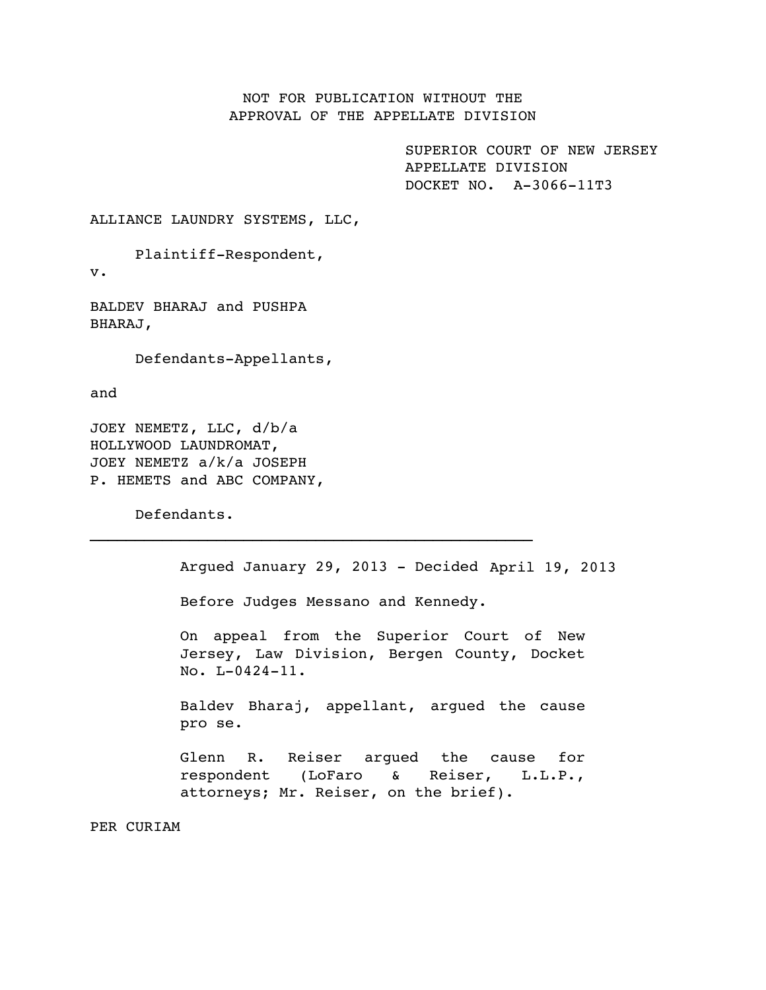## NOT FOR PUBLICATION WITHOUT THE APPROVAL OF THE APPELLATE DIVISION

SUPERIOR COURT OF NEW JERSEY APPELLATE DIVISION DOCKET NO. A-3066-11T3

ALLIANCE LAUNDRY SYSTEMS, LLC,

Plaintiff-Respondent,

v.

BALDEV BHARAJ and PUSHPA BHARAJ,

Defendants-Appellants,

and

JOEY NEMETZ, LLC, d/b/a HOLLYWOOD LAUNDROMAT, JOEY NEMETZ a/k/a JOSEPH P. HEMETS and ABC COMPANY,

Defendants.

Argued January 29, 2013 - Decided April 19, 2013

Before Judges Messano and Kennedy.

 $\mathcal{L}_\text{max}$  and the contract of the contract of the contract of the contract of the contract of the contract of the contract of the contract of the contract of the contract of the contract of the contract of the contrac

On appeal from the Superior Court of New Jersey, Law Division, Bergen County, Docket No. L-0424-11.

Baldev Bharaj, appellant, argued the cause pro se.

Glenn R. Reiser argued the cause for respondent (LoFaro & Reiser, L.L.P., attorneys; Mr. Reiser, on the brief).

PER CURIAM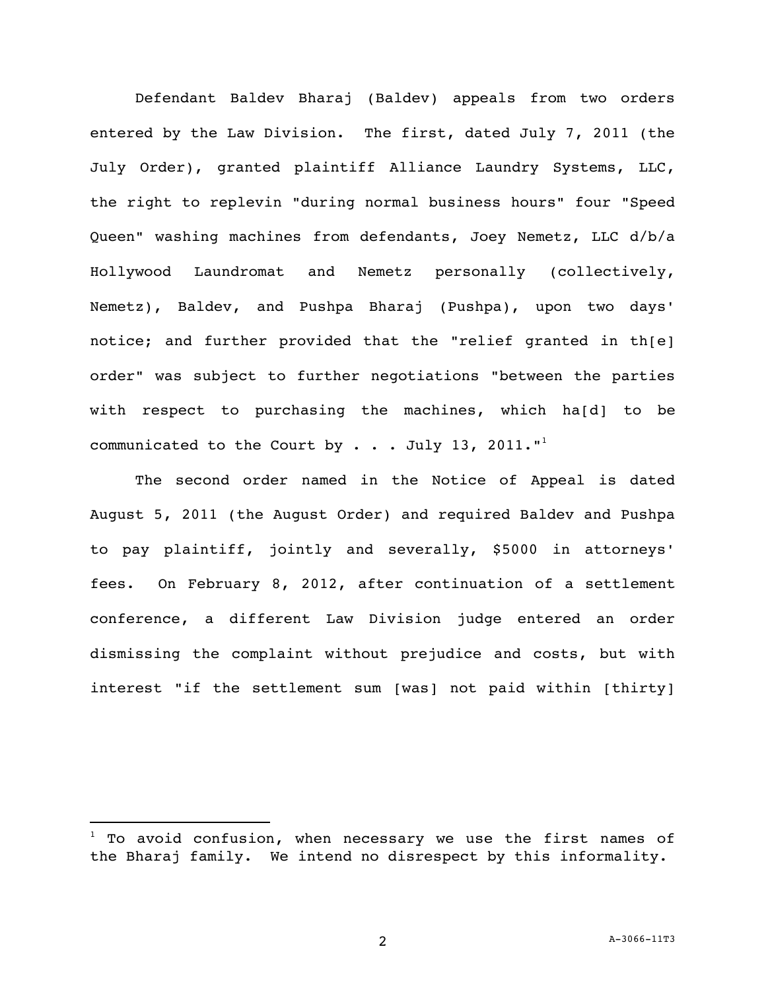Defendant Baldev Bharaj (Baldev) appeals from two orders entered by the Law Division. The first, dated July 7, 2011 (the July Order), granted plaintiff Alliance Laundry Systems, LLC, the right to replevin "during normal business hours" four "Speed Queen" washing machines from defendants, Joey Nemetz, LLC d/b/a Hollywood Laundromat and Nemetz personally (collectively, Nemetz), Baldev, and Pushpa Bharaj (Pushpa), upon two days' notice; and further provided that the "relief granted in th[e] order" was subject to further negotiations "between the parties with respect to purchasing the machines, which ha[d] to be communicated to the Court by . . . July 13, 2011."<sup>1</sup>

The second order named in the Notice of Appeal is dated August 5, 2011 (the August Order) and required Baldev and Pushpa to pay plaintiff, jointly and severally, \$5000 in attorneys' fees. On February 8, 2012, after continuation of a settlement conference, a different Law Division judge entered an order dismissing the complaint without prejudice and costs, but with interest "if the settlement sum [was] not paid within [thirty]

 $1$  To avoid confusion, when necessary we use the first names of the Bharaj family. We intend no disrespect by this informality.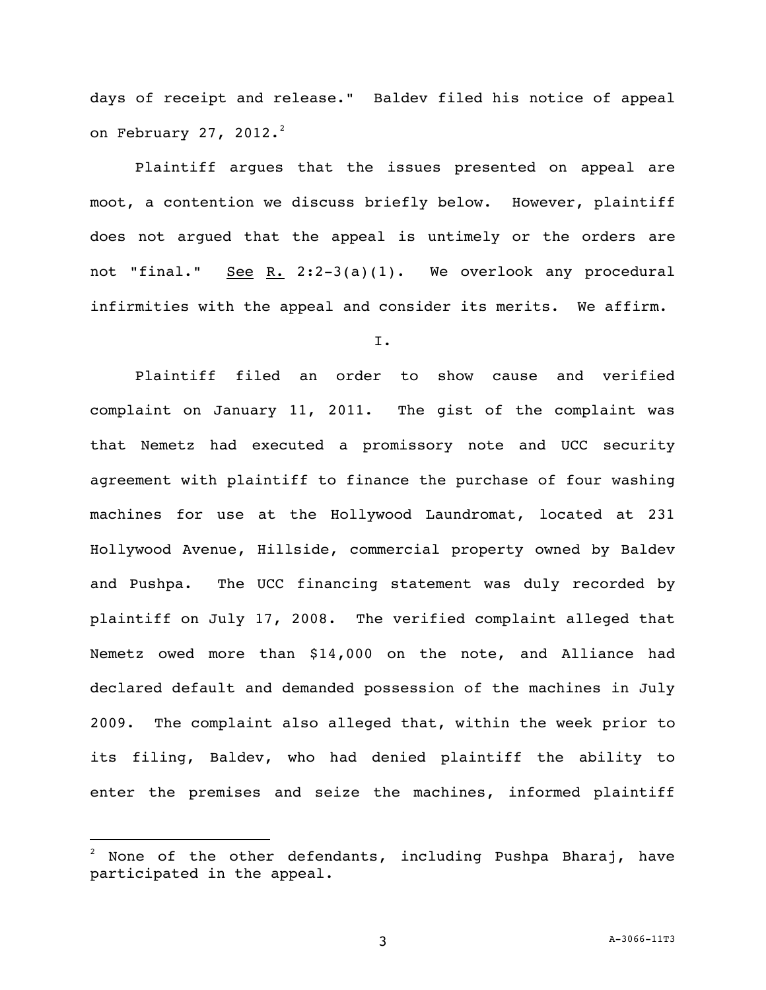days of receipt and release." Baldev filed his notice of appeal on February 27, 2012. $^2$ 

Plaintiff argues that the issues presented on appeal are moot, a contention we discuss briefly below. However, plaintiff does not argued that the appeal is untimely or the orders are not "final." See R. 2:2-3(a)(1). We overlook any procedural infirmities with the appeal and consider its merits. We affirm.

I.

Plaintiff filed an order to show cause and verified complaint on January 11, 2011. The gist of the complaint was that Nemetz had executed a promissory note and UCC security agreement with plaintiff to finance the purchase of four washing machines for use at the Hollywood Laundromat, located at 231 Hollywood Avenue, Hillside, commercial property owned by Baldev and Pushpa. The UCC financing statement was duly recorded by plaintiff on July 17, 2008. The verified complaint alleged that Nemetz owed more than \$14,000 on the note, and Alliance had declared default and demanded possession of the machines in July 2009. The complaint also alleged that, within the week prior to its filing, Baldev, who had denied plaintiff the ability to enter the premises and seize the machines, informed plaintiff

None of the other defendants, including Pushpa Bharaj, have participated in the appeal.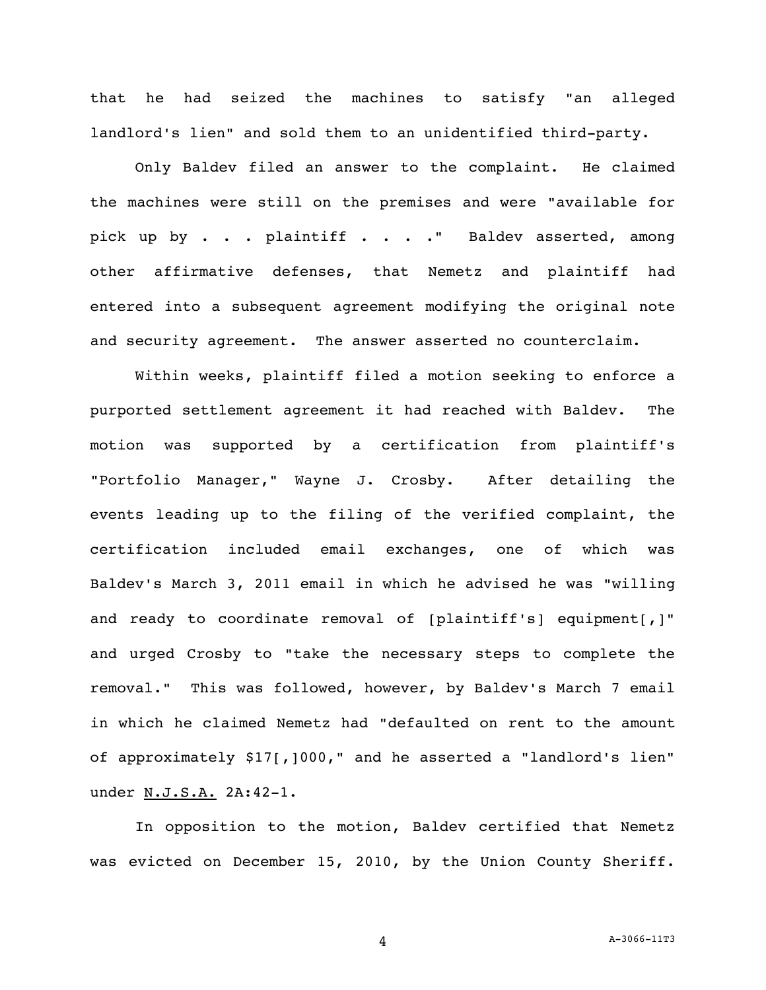that he had seized the machines to satisfy "an alleged landlord's lien" and sold them to an unidentified third-party.

Only Baldev filed an answer to the complaint. He claimed the machines were still on the premises and were "available for pick up by . . . plaintiff . . . . " Baldev asserted, among other affirmative defenses, that Nemetz and plaintiff had entered into a subsequent agreement modifying the original note and security agreement. The answer asserted no counterclaim.

Within weeks, plaintiff filed a motion seeking to enforce a purported settlement agreement it had reached with Baldev. The motion was supported by a certification from plaintiff's "Portfolio Manager," Wayne J. Crosby. After detailing the events leading up to the filing of the verified complaint, the certification included email exchanges, one of which was Baldev's March 3, 2011 email in which he advised he was "willing and ready to coordinate removal of [plaintiff's] equipment[,]" and urged Crosby to "take the necessary steps to complete the removal." This was followed, however, by Baldev's March 7 email in which he claimed Nemetz had "defaulted on rent to the amount of approximately \$17[,]000," and he asserted a "landlord's lien" under N.J.S.A. 2A:42-1.

In opposition to the motion, Baldev certified that Nemetz was evicted on December 15, 2010, by the Union County Sheriff.

4 A-3066-11T3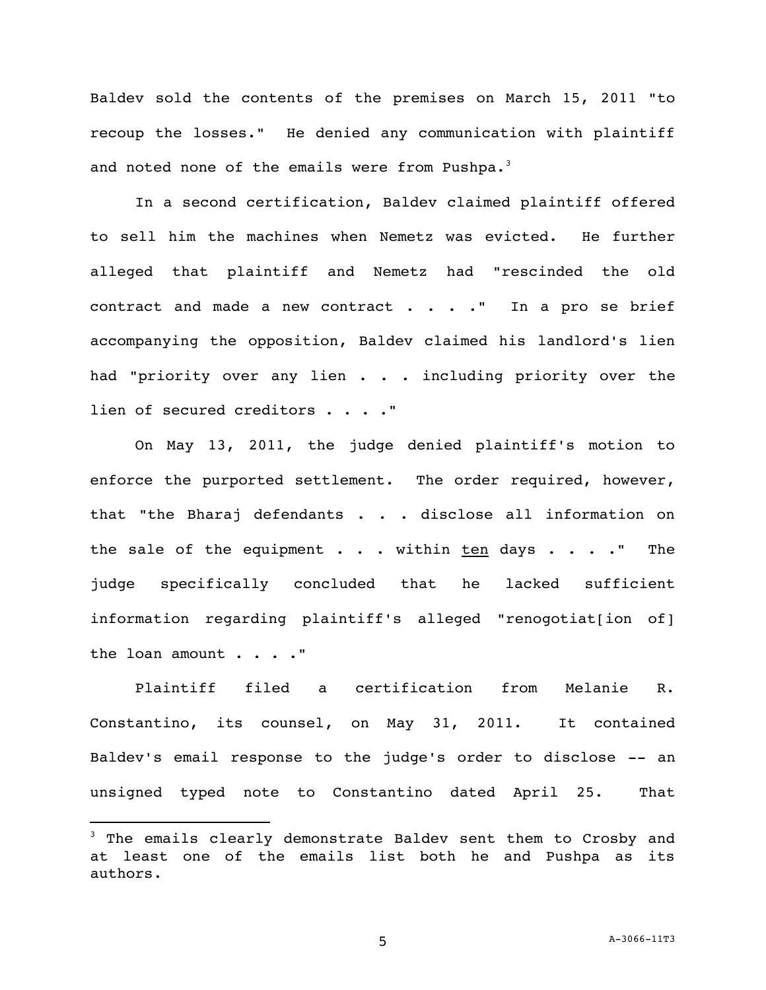Baldev sold the contents of the premises on March 15, 2011 "to recoup the losses." He denied any communication with plaintiff and noted none of the emails were from Pushpa. $3$ 

In a second certification, Baldev claimed plaintiff offered to sell him the machines when Nemetz was evicted. He further alleged that plaintiff and Nemetz had "rescinded the old contract and made a new contract  $\ldots$  . . " In a pro se brief accompanying the opposition, Baldev claimed his landlord's lien had "priority over any lien . . . including priority over the lien of secured creditors . . . . "

On May 13, 2011, the judge denied plaintiff's motion to enforce the purported settlement. The order required, however, that "the Bharaj defendants . . . disclose all information on the sale of the equipment  $\cdots$  within ten days  $\cdots$ ." The judge specifically concluded that he lacked sufficient information regarding plaintiff's alleged "renogotiat[ion of] the loan amount . . . . "

Plaintiff filed a certification from Melanie R. Constantino, its counsel, on May 31, 2011. It contained Baldev's email response to the judge's order to disclose -- an unsigned typed note to Constantino dated April 25. That

<sup>3</sup> The emails clearly demonstrate Baldev sent them to Crosby and at least one of the emails list both he and Pushpa as its authors.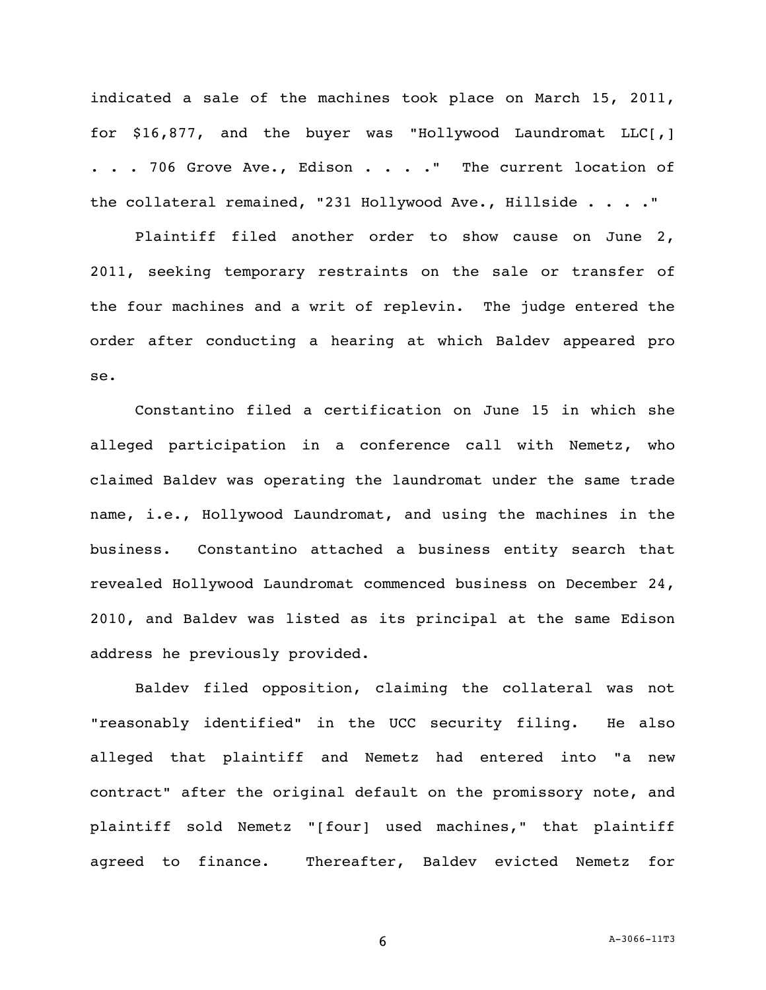indicated a sale of the machines took place on March 15, 2011, for \$16,877, and the buyer was "Hollywood Laundromat LLC[,] ... 706 Grove Ave., Edison .... " The current location of the collateral remained, "231 Hollywood Ave., Hillside . . . ."

Plaintiff filed another order to show cause on June 2, 2011, seeking temporary restraints on the sale or transfer of the four machines and a writ of replevin. The judge entered the order after conducting a hearing at which Baldev appeared pro se.

Constantino filed a certification on June 15 in which she alleged participation in a conference call with Nemetz, who claimed Baldev was operating the laundromat under the same trade name, i.e., Hollywood Laundromat, and using the machines in the business. Constantino attached a business entity search that revealed Hollywood Laundromat commenced business on December 24, 2010, and Baldev was listed as its principal at the same Edison address he previously provided.

Baldev filed opposition, claiming the collateral was not "reasonably identified" in the UCC security filing. He also alleged that plaintiff and Nemetz had entered into "a new contract" after the original default on the promissory note, and plaintiff sold Nemetz "[four] used machines," that plaintiff agreed to finance. Thereafter, Baldev evicted Nemetz for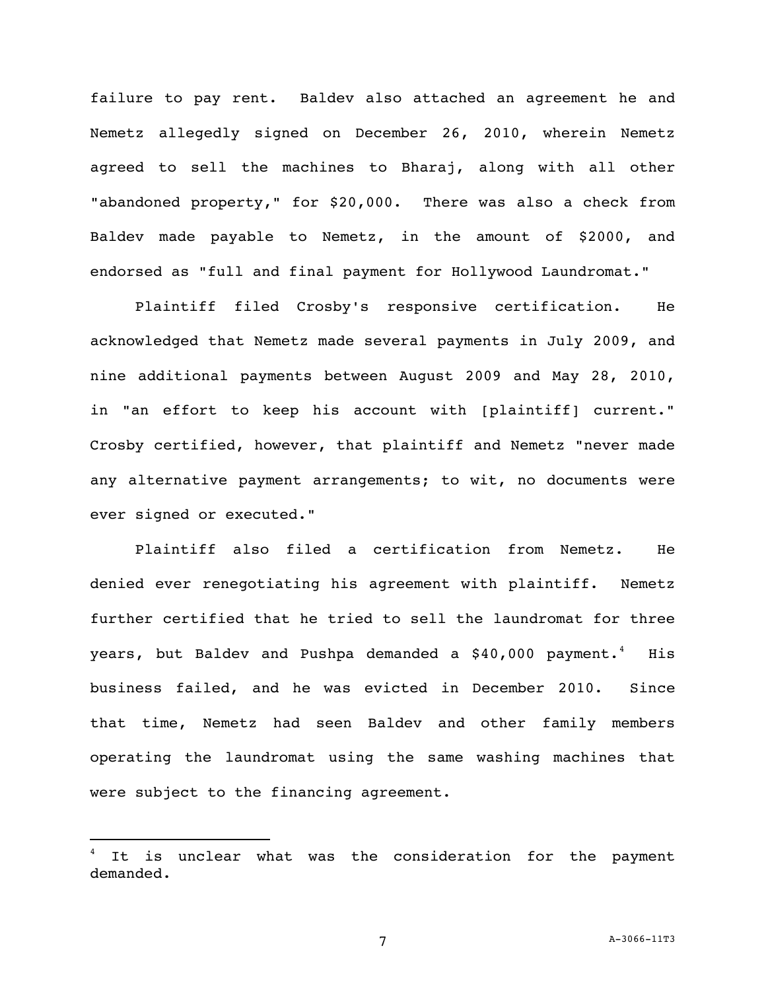failure to pay rent. Baldev also attached an agreement he and Nemetz allegedly signed on December 26, 2010, wherein Nemetz agreed to sell the machines to Bharaj, along with all other "abandoned property," for \$20,000. There was also a check from Baldev made payable to Nemetz, in the amount of \$2000, and endorsed as "full and final payment for Hollywood Laundromat."

Plaintiff filed Crosby's responsive certification. He acknowledged that Nemetz made several payments in July 2009, and nine additional payments between August 2009 and May 28, 2010, in "an effort to keep his account with [plaintiff] current." Crosby certified, however, that plaintiff and Nemetz "never made any alternative payment arrangements; to wit, no documents were ever signed or executed."

Plaintiff also filed a certification from Nemetz. He denied ever renegotiating his agreement with plaintiff. Nemetz further certified that he tried to sell the laundromat for three years, but Baldev and Pushpa demanded a  $$40,000$  payment.<sup>4</sup> His business failed, and he was evicted in December 2010. Since that time, Nemetz had seen Baldev and other family members operating the laundromat using the same washing machines that were subject to the financing agreement.

It is unclear what was the consideration for the payment demanded.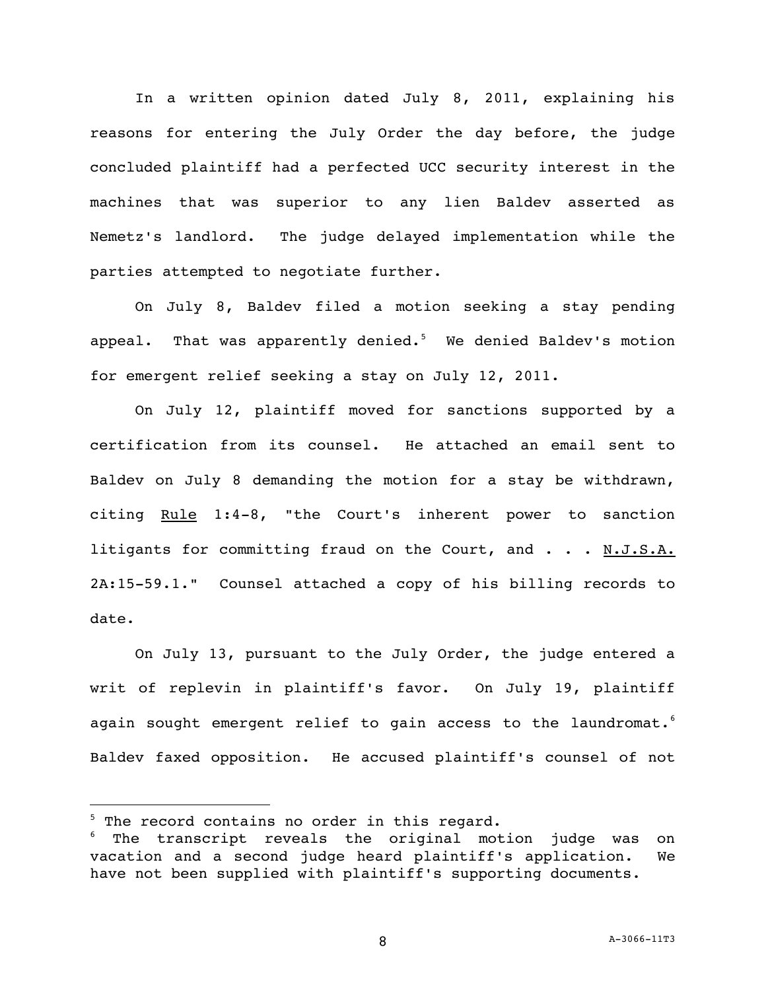In a written opinion dated July 8, 2011, explaining his reasons for entering the July Order the day before, the judge concluded plaintiff had a perfected UCC security interest in the machines that was superior to any lien Baldev asserted as Nemetz's landlord. The judge delayed implementation while the parties attempted to negotiate further.

On July 8, Baldev filed a motion seeking a stay pending appeal. That was apparently denied.<sup>5</sup> We denied Baldev's motion for emergent relief seeking a stay on July 12, 2011.

On July 12, plaintiff moved for sanctions supported by a certification from its counsel. He attached an email sent to Baldev on July 8 demanding the motion for a stay be withdrawn, citing Rule 1:4-8, "the Court's inherent power to sanction litigants for committing fraud on the Court, and . . . N.J.S.A. 2A:15-59.1." Counsel attached a copy of his billing records to date.

On July 13, pursuant to the July Order, the judge entered a writ of replevin in plaintiff's favor. On July 19, plaintiff again sought emergent relief to gain access to the laundromat. $^6$ Baldev faxed opposition. He accused plaintiff's counsel of not

 $5$  The record contains no order in this regard.

The transcript reveals the original motion judge was on vacation and a second judge heard plaintiff's application. We have not been supplied with plaintiff's supporting documents.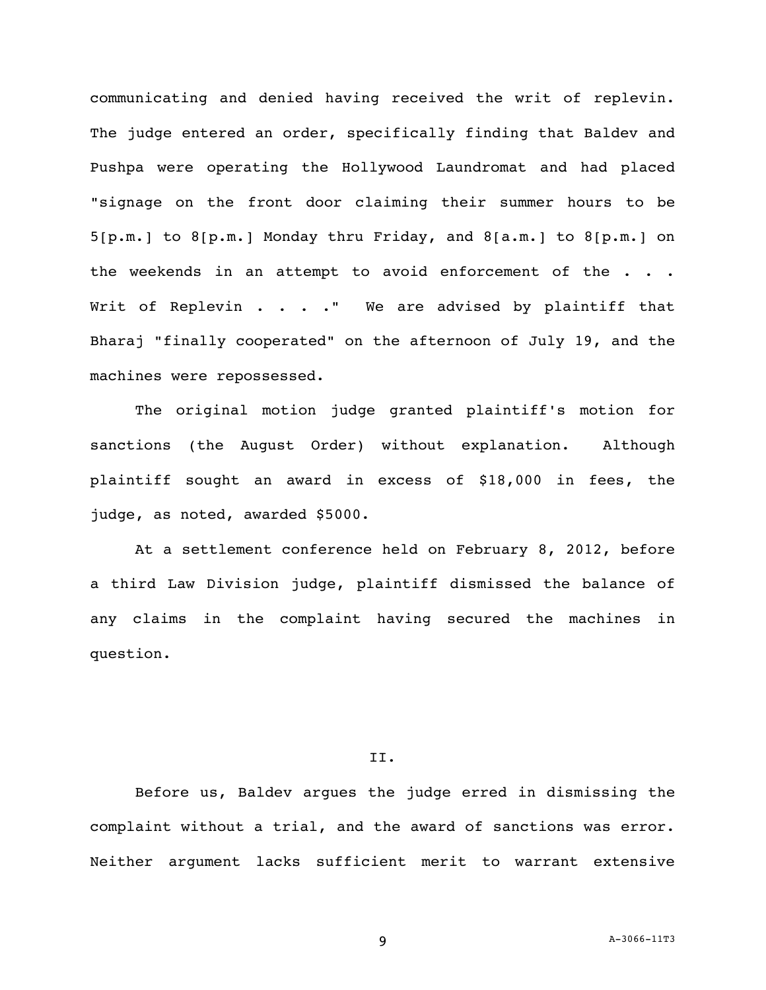communicating and denied having received the writ of replevin. The judge entered an order, specifically finding that Baldev and Pushpa were operating the Hollywood Laundromat and had placed "signage on the front door claiming their summer hours to be 5[p.m.] to 8[p.m.] Monday thru Friday, and 8[a.m.] to 8[p.m.] on the weekends in an attempt to avoid enforcement of the . . . Writ of Replevin . . . . " We are advised by plaintiff that Bharaj "finally cooperated" on the afternoon of July 19, and the machines were repossessed.

The original motion judge granted plaintiff's motion for sanctions (the August Order) without explanation. Although plaintiff sought an award in excess of \$18,000 in fees, the judge, as noted, awarded \$5000.

At a settlement conference held on February 8, 2012, before a third Law Division judge, plaintiff dismissed the balance of any claims in the complaint having secured the machines in question.

## II.

Before us, Baldev argues the judge erred in dismissing the complaint without a trial, and the award of sanctions was error. Neither argument lacks sufficient merit to warrant extensive

9 A-3066-11T3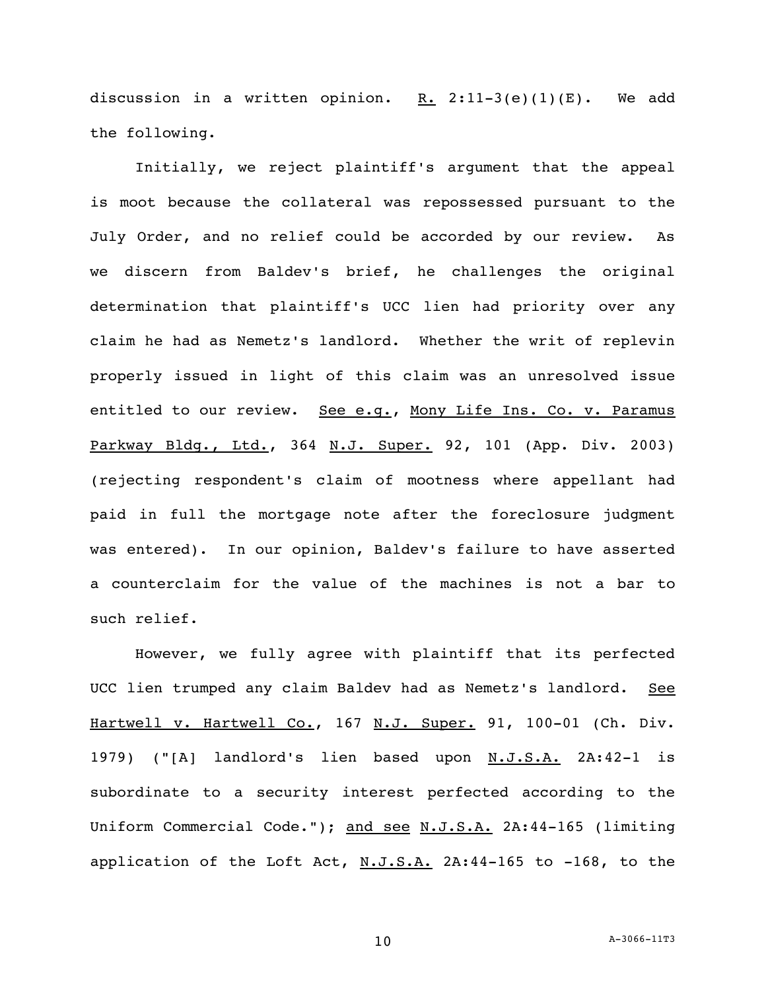discussion in a written opinion. R.  $2:11-3(e)(1)(E)$ . We add the following.

Initially, we reject plaintiff's argument that the appeal is moot because the collateral was repossessed pursuant to the July Order, and no relief could be accorded by our review. As we discern from Baldev's brief, he challenges the original determination that plaintiff's UCC lien had priority over any claim he had as Nemetz's landlord. Whether the writ of replevin properly issued in light of this claim was an unresolved issue entitled to our review. See e.g., Mony Life Ins. Co. v. Paramus Parkway Bldg., Ltd., 364 N.J. Super. 92, 101 (App. Div. 2003) (rejecting respondent's claim of mootness where appellant had paid in full the mortgage note after the foreclosure judgment was entered). In our opinion, Baldev's failure to have asserted a counterclaim for the value of the machines is not a bar to such relief.

However, we fully agree with plaintiff that its perfected UCC lien trumped any claim Baldev had as Nemetz's landlord. See Hartwell v. Hartwell Co., 167 N.J. Super. 91, 100-01 (Ch. Div. 1979) ("[A] landlord's lien based upon N.J.S.A. 2A:42-1 is subordinate to a security interest perfected according to the Uniform Commercial Code."); and see N.J.S.A. 2A:44-165 (limiting application of the Loft Act,  $N.J.S.A.$  2A:44-165 to -168, to the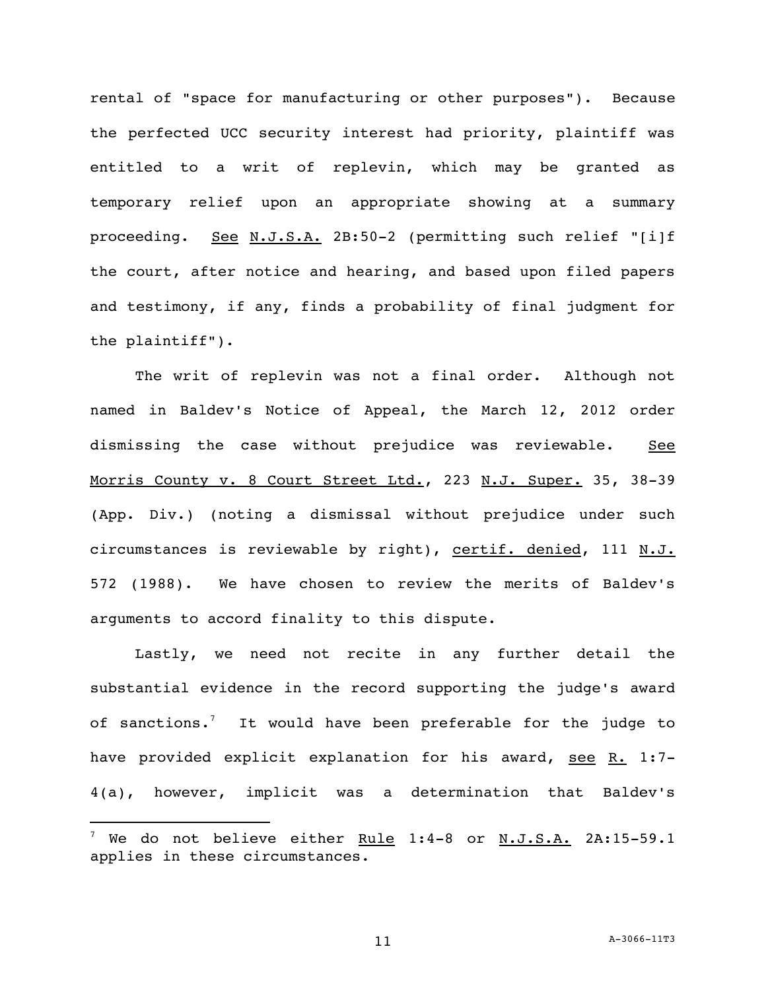rental of "space for manufacturing or other purposes"). Because the perfected UCC security interest had priority, plaintiff was entitled to a writ of replevin, which may be granted as temporary relief upon an appropriate showing at a summary proceeding. See N.J.S.A. 2B:50-2 (permitting such relief "[i]f the court, after notice and hearing, and based upon filed papers and testimony, if any, finds a probability of final judgment for the plaintiff").

The writ of replevin was not a final order. Although not named in Baldev's Notice of Appeal, the March 12, 2012 order dismissing the case without prejudice was reviewable. See Morris County v. 8 Court Street Ltd., 223 N.J. Super. 35, 38-39 (App. Div.) (noting a dismissal without prejudice under such circumstances is reviewable by right), certif. denied, 111 N.J. 572 (1988). We have chosen to review the merits of Baldev's arguments to accord finality to this dispute.

Lastly, we need not recite in any further detail the substantial evidence in the record supporting the judge's award of sanctions.<sup>7</sup> It would have been preferable for the judge to have provided explicit explanation for his award, see  $R. 1:7-$ 4(a), however, implicit was a determination that Baldev's

 $^7$  We do not believe either Rule 1:4-8 or N.J.S.A. 2A:15-59.1 applies in these circumstances.